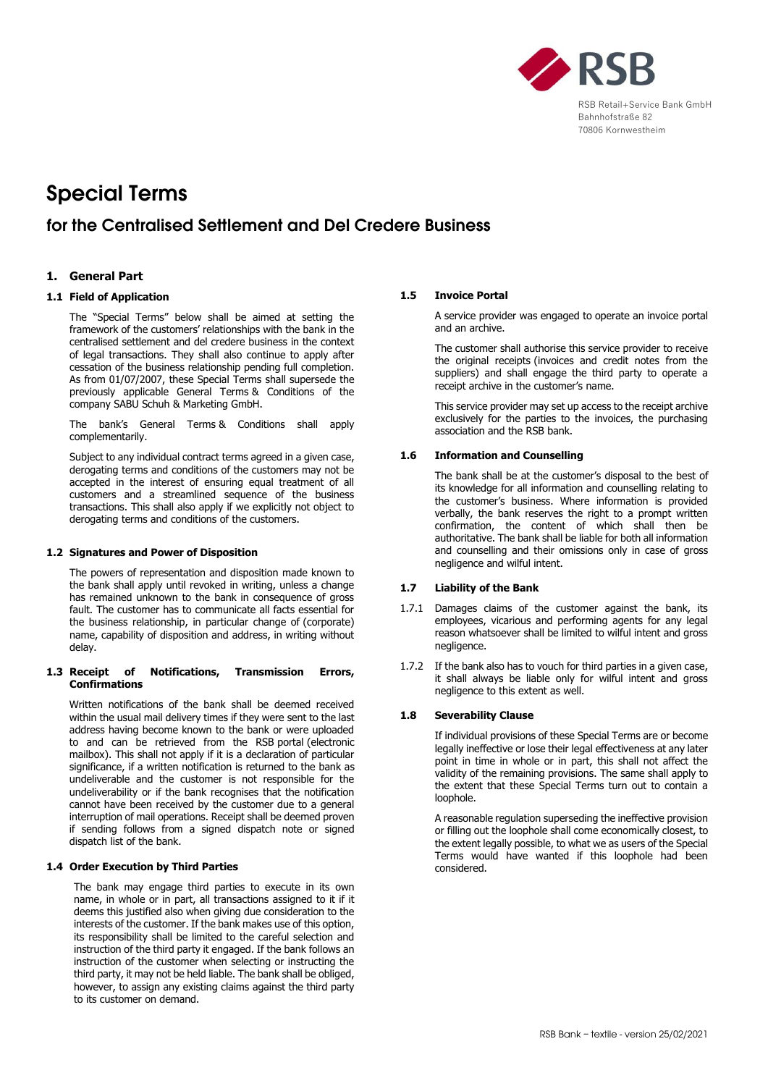

# Special Terms

# for the Centralised Settlement and Del Credere Business

# **1. General Part**

# **1.1 Field of Application**

The "Special Terms" below shall be aimed at setting the framework of the customers' relationships with the bank in the centralised settlement and del credere business in the context of legal transactions. They shall also continue to apply after cessation of the business relationship pending full completion. As from 01/07/2007, these Special Terms shall supersede the previously applicable General Terms & Conditions of the company SABU Schuh & Marketing GmbH.

The bank's General Terms & Conditions shall apply complementarily.

Subject to any individual contract terms agreed in a given case, derogating terms and conditions of the customers may not be accepted in the interest of ensuring equal treatment of all customers and a streamlined sequence of the business transactions. This shall also apply if we explicitly not object to derogating terms and conditions of the customers.

#### **1.2 Signatures and Power of Disposition**

The powers of representation and disposition made known to the bank shall apply until revoked in writing, unless a change has remained unknown to the bank in consequence of gross fault. The customer has to communicate all facts essential for the business relationship, in particular change of (corporate) name, capability of disposition and address, in writing without delay.

#### **1.3 Receipt of Notifications, Transmission Errors, Confirmations**

Written notifications of the bank shall be deemed received within the usual mail delivery times if they were sent to the last address having become known to the bank or were uploaded to and can be retrieved from the RSB portal (electronic mailbox). This shall not apply if it is a declaration of particular significance, if a written notification is returned to the bank as undeliverable and the customer is not responsible for the undeliverability or if the bank recognises that the notification cannot have been received by the customer due to a general interruption of mail operations. Receipt shall be deemed proven if sending follows from a signed dispatch note or signed dispatch list of the bank.

# **1.4 Order Execution by Third Parties**

The bank may engage third parties to execute in its own name, in whole or in part, all transactions assigned to it if it deems this justified also when giving due consideration to the interests of the customer. If the bank makes use of this option, its responsibility shall be limited to the careful selection and instruction of the third party it engaged. If the bank follows an instruction of the customer when selecting or instructing the third party, it may not be held liable. The bank shall be obliged, however, to assign any existing claims against the third party to its customer on demand.

#### **1.5 Invoice Portal**

A service provider was engaged to operate an invoice portal and an archive.

The customer shall authorise this service provider to receive the original receipts (invoices and credit notes from the suppliers) and shall engage the third party to operate a receipt archive in the customer's name.

This service provider may set up access to the receipt archive exclusively for the parties to the invoices, the purchasing association and the RSB bank.

#### **1.6 Information and Counselling**

The bank shall be at the customer's disposal to the best of its knowledge for all information and counselling relating to the customer's business. Where information is provided verbally, the bank reserves the right to a prompt written confirmation, the content of which shall then be authoritative. The bank shall be liable for both all information and counselling and their omissions only in case of gross negligence and wilful intent.

#### **1.7 Liability of the Bank**

- 1.7.1 Damages claims of the customer against the bank, its employees, vicarious and performing agents for any legal reason whatsoever shall be limited to wilful intent and gross negligence.
- 1.7.2 If the bank also has to vouch for third parties in a given case, it shall always be liable only for wilful intent and gross negligence to this extent as well.

#### **1.8 Severability Clause**

If individual provisions of these Special Terms are or become legally ineffective or lose their legal effectiveness at any later point in time in whole or in part, this shall not affect the validity of the remaining provisions. The same shall apply to the extent that these Special Terms turn out to contain a loophole.

A reasonable regulation superseding the ineffective provision or filling out the loophole shall come economically closest, to the extent legally possible, to what we as users of the Special Terms would have wanted if this loophole had been considered.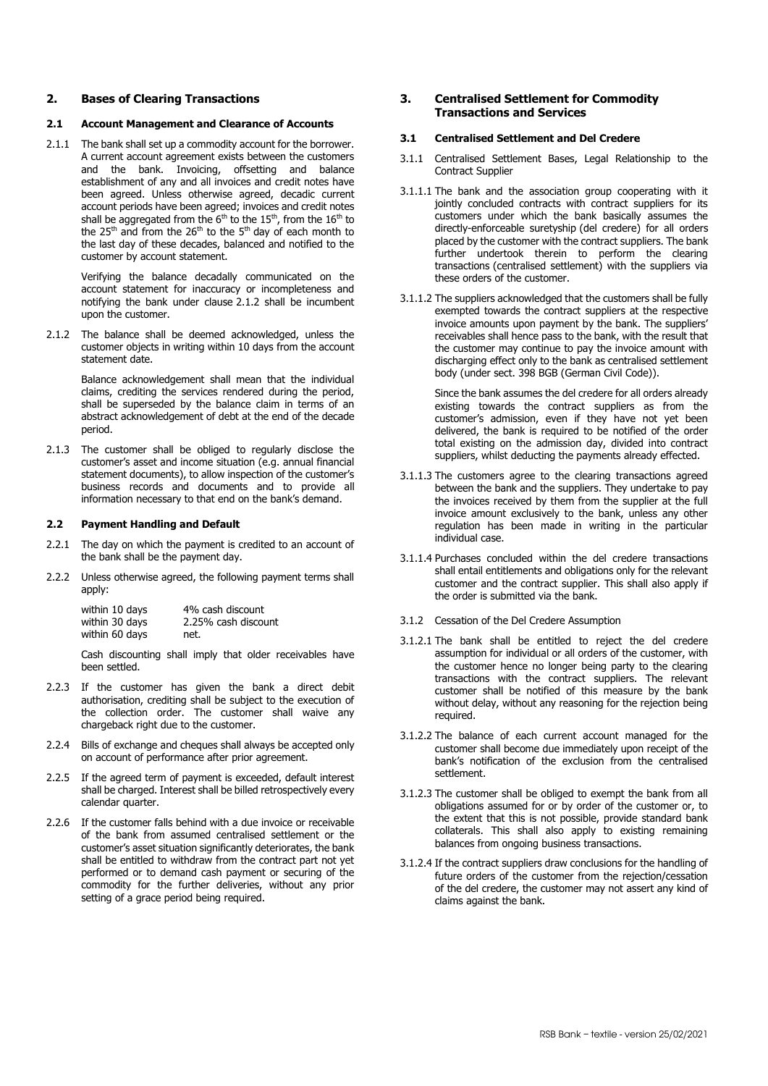# **2. Bases of Clearing Transactions**

#### **2.1 Account Management and Clearance of Accounts**

2.1.1 The bank shall set up a commodity account for the borrower. A current account agreement exists between the customers and the bank. Invoicing, offsetting and balance establishment of any and all invoices and credit notes have been agreed. Unless otherwise agreed, decadic current account periods have been agreed; invoices and credit notes shall be aggregated from the  $6<sup>th</sup>$  to the  $15<sup>th</sup>$ , from the  $16<sup>th</sup>$  to the 25<sup>th</sup> and from the 26<sup>th</sup> to the 5<sup>th</sup> day of each month to the last day of these decades, balanced and notified to the customer by account statement.

> Verifying the balance decadally communicated on the account statement for inaccuracy or incompleteness and notifying the bank under clause 2.1.2 shall be incumbent upon the customer.

2.1.2 The balance shall be deemed acknowledged, unless the customer objects in writing within 10 days from the account statement date.

> Balance acknowledgement shall mean that the individual claims, crediting the services rendered during the period, shall be superseded by the balance claim in terms of an abstract acknowledgement of debt at the end of the decade period.

2.1.3 The customer shall be obliged to regularly disclose the customer's asset and income situation (e.g. annual financial statement documents), to allow inspection of the customer's business records and documents and to provide all information necessary to that end on the bank's demand.

#### **2.2 Payment Handling and Default**

- 2.2.1 The day on which the payment is credited to an account of the bank shall be the payment day.
- 2.2.2 Unless otherwise agreed, the following payment terms shall apply:

| within 10 days | 4% cash discount    |
|----------------|---------------------|
| within 30 days | 2.25% cash discount |
| within 60 days | net.                |

Cash discounting shall imply that older receivables have been settled.

- 2.2.3 If the customer has given the bank a direct debit authorisation, crediting shall be subject to the execution of the collection order. The customer shall waive any chargeback right due to the customer.
- 2.2.4 Bills of exchange and cheques shall always be accepted only on account of performance after prior agreement.
- 2.2.5 If the agreed term of payment is exceeded, default interest shall be charged. Interest shall be billed retrospectively every calendar quarter.
- 2.2.6 If the customer falls behind with a due invoice or receivable of the bank from assumed centralised settlement or the customer's asset situation significantly deteriorates, the bank shall be entitled to withdraw from the contract part not yet performed or to demand cash payment or securing of the commodity for the further deliveries, without any prior setting of a grace period being required.

# **3. Centralised Settlement for Commodity Transactions and Services**

#### **3.1 Centralised Settlement and Del Credere**

- 3.1.1 Centralised Settlement Bases, Legal Relationship to the Contract Supplier
- 3.1.1.1 The bank and the association group cooperating with it jointly concluded contracts with contract suppliers for its customers under which the bank basically assumes the directly-enforceable suretyship (del credere) for all orders placed by the customer with the contract suppliers. The bank further undertook therein to perform the clearing transactions (centralised settlement) with the suppliers via these orders of the customer.
- 3.1.1.2 The suppliers acknowledged that the customers shall be fully exempted towards the contract suppliers at the respective invoice amounts upon payment by the bank. The suppliers' receivables shall hence pass to the bank, with the result that the customer may continue to pay the invoice amount with discharging effect only to the bank as centralised settlement body (under sect. 398 BGB (German Civil Code)).

Since the bank assumes the del credere for all orders already existing towards the contract suppliers as from the customer's admission, even if they have not yet been delivered, the bank is required to be notified of the order total existing on the admission day, divided into contract suppliers, whilst deducting the payments already effected.

- 3.1.1.3 The customers agree to the clearing transactions agreed between the bank and the suppliers. They undertake to pay the invoices received by them from the supplier at the full invoice amount exclusively to the bank, unless any other regulation has been made in writing in the particular individual case.
- 3.1.1.4 Purchases concluded within the del credere transactions shall entail entitlements and obligations only for the relevant customer and the contract supplier. This shall also apply if the order is submitted via the bank.
- 3.1.2 Cessation of the Del Credere Assumption
- 3.1.2.1 The bank shall be entitled to reject the del credere assumption for individual or all orders of the customer, with the customer hence no longer being party to the clearing transactions with the contract suppliers. The relevant customer shall be notified of this measure by the bank without delay, without any reasoning for the rejection being required.
- 3.1.2.2 The balance of each current account managed for the customer shall become due immediately upon receipt of the bank's notification of the exclusion from the centralised settlement.
- 3.1.2.3 The customer shall be obliged to exempt the bank from all obligations assumed for or by order of the customer or, to the extent that this is not possible, provide standard bank collaterals. This shall also apply to existing remaining balances from ongoing business transactions.
- 3.1.2.4 If the contract suppliers draw conclusions for the handling of future orders of the customer from the rejection/cessation of the del credere, the customer may not assert any kind of claims against the bank.